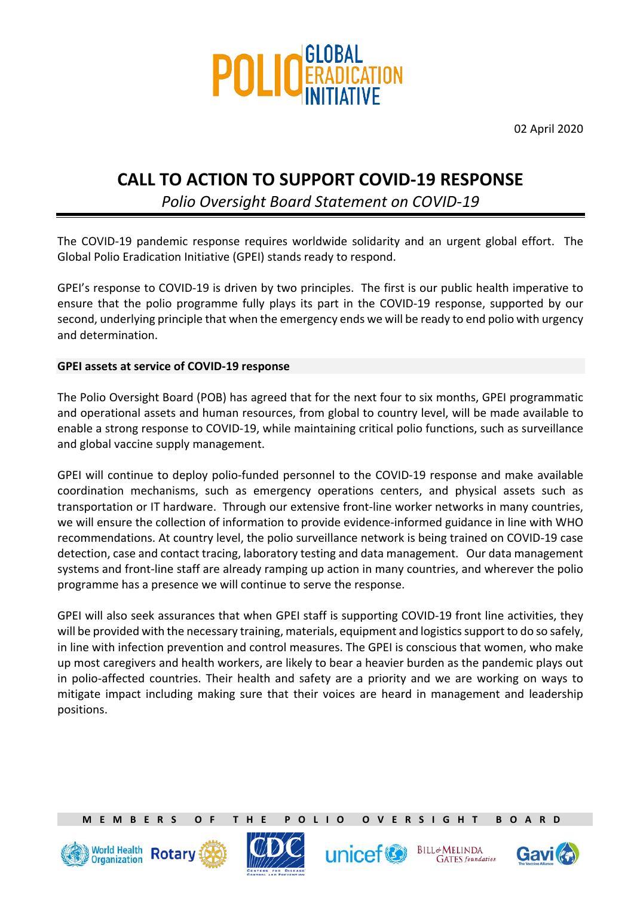

02 April 2020

# **CALL TO ACTION TO SUPPORT COVID-19 RESPONSE**

# *Polio Oversight Board Statement on COVID-19*

The COVID-19 pandemic response requires worldwide solidarity and an urgent global effort. The Global Polio Eradication Initiative (GPEI) stands ready to respond.

GPEI's response to COVID-19 is driven by two principles. The first is our public health imperative to ensure that the polio programme fully plays its part in the COVID-19 response, supported by our second, underlying principle that when the emergency ends we will be ready to end polio with urgency and determination.

## **GPEI assets at service of COVID-19 response**

The Polio Oversight Board (POB) has agreed that for the next four to six months, GPEI programmatic and operational assets and human resources, from global to country level, will be made available to enable a strong response to COVID-19, while maintaining critical polio functions, such as surveillance and global vaccine supply management.

GPEI will continue to deploy polio-funded personnel to the COVID-19 response and make available coordination mechanisms, such as emergency operations centers, and physical assets such as transportation or IT hardware. Through our extensive front-line worker networks in many countries, we will ensure the collection of information to provide evidence-informed guidance in line with WHO recommendations. At country level, the polio surveillance network is being trained on COVID-19 case detection, case and contact tracing, laboratory testing and data management. Our data management systems and front-line staff are already ramping up action in many countries, and wherever the polio programme has a presence we will continue to serve the response.

GPEI will also seek assurances that when GPEI staff is supporting COVID-19 front line activities, they will be provided with the necessary training, materials, equipment and logistics support to do so safely, in line with infection prevention and control measures. The GPEI is conscious that women, who make up most caregivers and health workers, are likely to bear a heavier burden as the pandemic plays out in polio-affected countries. Their health and safety are a priority and we are working on ways to mitigate impact including making sure that their voices are heard in management and leadership positions.

**MEMB ERS OF THE POLIO OVERSIGHT BOARD**









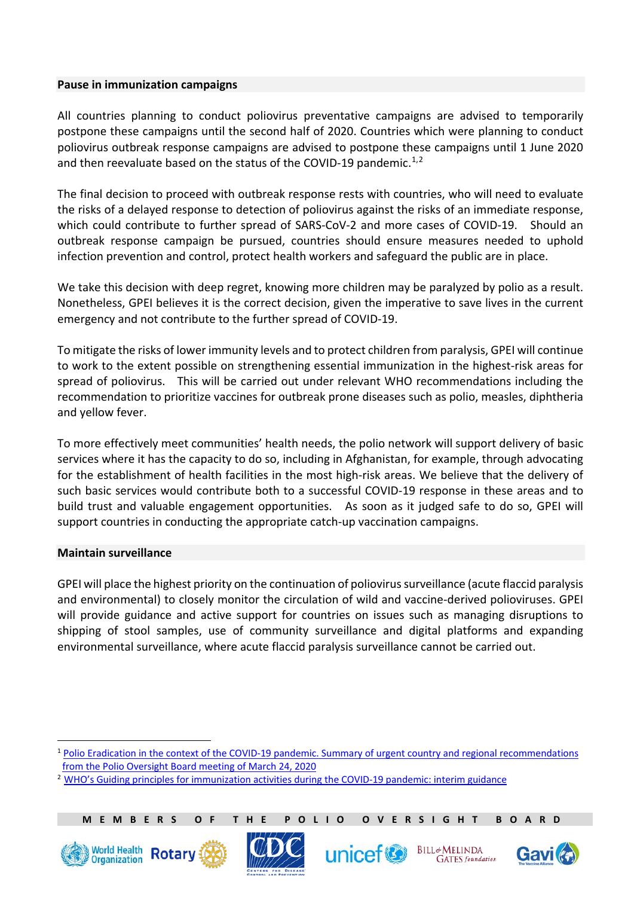## **Pause in immunization campaigns**

All countries planning to conduct poliovirus preventative campaigns are advised to temporarily postpone these campaigns until the second half of 2020. Countries which were planning to conduct poliovirus outbreak response campaigns are advised to postpone these campaigns until 1 June 2020 and then reevaluate based on the status of the COVID-19 pandemic.<sup>[1,](#page-1-0)[2](#page-1-1)</sup>

The final decision to proceed with outbreak response rests with countries, who will need to evaluate the risks of a delayed response to detection of poliovirus against the risks of an immediate response, which could contribute to further spread of SARS-CoV-2 and more cases of COVID-19. Should an outbreak response campaign be pursued, countries should ensure measures needed to uphold infection prevention and control, protect health workers and safeguard the public are in place.

We take this decision with deep regret, knowing more children may be paralyzed by polio as a result. Nonetheless, GPEI believes it is the correct decision, given the imperative to save lives in the current emergency and not contribute to the further spread of COVID-19.

To mitigate the risks of lower immunity levels and to protect children from paralysis, GPEI will continue to work to the extent possible on strengthening essential immunization in the highest-risk areas for spread of poliovirus. This will be carried out under relevant WHO recommendations including the recommendation to prioritize vaccines for outbreak prone diseases such as polio, measles, diphtheria and yellow fever.

To more effectively meet communities' health needs, the polio network will support delivery of basic services where it has the capacity to do so, including in Afghanistan, for example, through advocating for the establishment of health facilities in the most high-risk areas. We believe that the delivery of such basic services would contribute both to a successful COVID-19 response in these areas and to build trust and valuable engagement opportunities. As soon as it judged safe to do so, GPEI will support countries in conducting the appropriate catch-up vaccination campaigns.

#### **Maintain surveillance**

GPEI will place the highest priority on the continuation of poliovirus surveillance (acute flaccid paralysis and environmental) to closely monitor the circulation of wild and vaccine-derived polioviruses. GPEI will provide guidance and active support for countries on issues such as managing disruptions to shipping of stool samples, use of community surveillance and digital platforms and expanding environmental surveillance, where acute flaccid paralysis surveillance cannot be carried out.

<span id="page-1-1"></span><sup>&</sup>lt;sup>2</sup> [WHO's Guiding principles for immunization activities during](https://apps.who.int/iris/bitstream/handle/10665/331590/WHO-2019-nCoV-immunization_services-2020.1-eng.pdf?sequence=1&isAllowed=y) the COVID-19 pandemic: interim guidance



unicef<sup>®</sup>









<span id="page-1-0"></span> <sup>1</sup> [Polio Eradication in the context of the COVID-19 pandemic. Summary of urgent country and regional recommendations](http://polioeradication.org/wp-content/uploads/2020/03/GPEI-POB-recommendations-for-countries-on-covid-20200324.pdf)  [from the Polio Oversight Board meeting of March 24, 2020](http://polioeradication.org/wp-content/uploads/2020/03/GPEI-POB-recommendations-for-countries-on-covid-20200324.pdf)